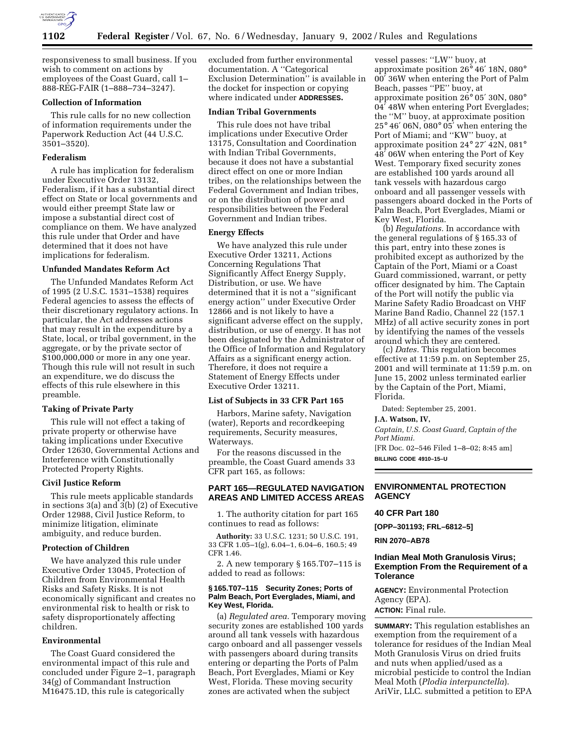

responsiveness to small business. If you wish to comment on actions by employees of the Coast Guard, call 1– 888-REG-FAIR (1–888–734–3247).

# **Collection of Information**

This rule calls for no new collection of information requirements under the Paperwork Reduction Act (44 U.S.C. 3501–3520).

### **Federalism**

A rule has implication for federalism under Executive Order 13132, Federalism, if it has a substantial direct effect on State or local governments and would either preempt State law or impose a substantial direct cost of compliance on them. We have analyzed this rule under that Order and have determined that it does not have implications for federalism.

### **Unfunded Mandates Reform Act**

The Unfunded Mandates Reform Act of 1995 (2 U.S.C. 1531–1538) requires Federal agencies to assess the effects of their discretionary regulatory actions. In particular, the Act addresses actions that may result in the expenditure by a State, local, or tribal government, in the aggregate, or by the private sector of \$100,000,000 or more in any one year. Though this rule will not result in such an expenditure, we do discuss the effects of this rule elsewhere in this preamble.

## **Taking of Private Party**

This rule will not effect a taking of private property or otherwise have taking implications under Executive Order 12630, Governmental Actions and Interference with Constitutionally Protected Property Rights.

## **Civil Justice Reform**

This rule meets applicable standards in sections 3(a) and 3(b) (2) of Executive Order 12988, Civil Justice Reform, to minimize litigation, eliminate ambiguity, and reduce burden.

## **Protection of Children**

We have analyzed this rule under Executive Order 13045, Protection of Children from Environmental Health Risks and Safety Risks. It is not economically significant and creates no environmental risk to health or risk to safety disproportionately affecting children.

# **Environmental**

The Coast Guard considered the environmental impact of this rule and concluded under Figure 2–1, paragraph 34(g) of Commandant Instruction M16475.1D, this rule is categorically

excluded from further environmental documentation. A ''Categorical Exclusion Determination'' is available in the docket for inspection or copying where indicated under **ADDRESSES.**

# **Indian Tribal Governments**

This rule does not have tribal implications under Executive Order 13175, Consultation and Coordination with Indian Tribal Governments, because it does not have a substantial direct effect on one or more Indian tribes, on the relationships between the Federal Government and Indian tribes, or on the distribution of power and responsibilities between the Federal Government and Indian tribes.

## **Energy Effects**

We have analyzed this rule under Executive Order 13211, Actions Concerning Regulations That Significantly Affect Energy Supply, Distribution, or use. We have determined that it is not a ''significant energy action'' under Executive Order 12866 and is not likely to have a significant adverse effect on the supply, distribution, or use of energy. It has not been designated by the Administrator of the Office of Information and Regulatory Affairs as a significant energy action. Therefore, it does not require a Statement of Energy Effects under Executive Order 13211.

### **List of Subjects in 33 CFR Part 165**

Harbors, Marine safety, Navigation (water), Reports and recordkeeping requirements, Security measures, Waterways.

For the reasons discussed in the preamble, the Coast Guard amends 33 CFR part 165, as follows:

# **PART 165—REGULATED NAVIGATION AREAS AND LIMITED ACCESS AREAS**

1. The authority citation for part 165 continues to read as follows:

**Authority:** 33 U.S.C. 1231; 50 U.S.C. 191, 33 CFR 1.05–1(g), 6.04–1, 6.04–6, 160.5; 49 CFR 1.46.

2. A new temporary § 165.T07–115 is added to read as follows:

## **§ 165.T07–115 Security Zones; Ports of Palm Beach, Port Everglades, Miami, and Key West, Florida.**

(a) *Regulated area.* Temporary moving security zones are established 100 yards around all tank vessels with hazardous cargo onboard and all passenger vessels with passengers aboard during transits entering or departing the Ports of Palm Beach, Port Everglades, Miami or Key West, Florida. These moving security zones are activated when the subject

vessel passes: ''LW'' buoy, at approximate position 26° 46′ 18N, 080° 00′ 36W when entering the Port of Palm Beach, passes ''PE'' buoy, at approximate position 26° 05′ 30N, 080° 04′ 48W when entering Port Everglades; the ''M'' buoy, at approximate position 25° 46′ 06N, 080° 05′ when entering the Port of Miami; and ''KW'' buoy, at approximate position 24° 27′ 42N, 081° 48′ 06W when entering the Port of Key West. Temporary fixed security zones are established 100 yards around all tank vessels with hazardous cargo onboard and all passenger vessels with passengers aboard docked in the Ports of Palm Beach, Port Everglades, Miami or Key West, Florida.

(b) *Regulations.* In accordance with the general regulations of § 165.33 of this part, entry into these zones is prohibited except as authorized by the Captain of the Port, Miami or a Coast Guard commissioned, warrant, or petty officer designated by him. The Captain of the Port will notify the public via Marine Safety Radio Broadcast on VHF Marine Band Radio, Channel 22 (157.1 MHz) of all active security zones in port by identifying the names of the vessels around which they are centered.

(c) *Dates.* This regulation becomes effective at 11:59 p.m. on September 25, 2001 and will terminate at 11:59 p.m. on June 15, 2002 unless terminated earlier by the Captain of the Port, Miami, Florida.

Dated: September 25, 2001.

**J.A. Watson, IV,**

*Captain, U.S. Coast Guard, Captain of the Port Miami.*

[FR Doc. 02–546 Filed 1–8–02; 8:45 am] **BILLING CODE 4910–15–U**

# **ENVIRONMENTAL PROTECTION AGENCY**

## **40 CFR Part 180**

**[OPP–301193; FRL–6812–5]**

**RIN 2070–AB78**

# **Indian Meal Moth Granulosis Virus; Exemption From the Requirement of a Tolerance**

**AGENCY:** Environmental Protection Agency (EPA). **ACTION:** Final rule.

**SUMMARY:** This regulation establishes an exemption from the requirement of a tolerance for residues of the Indian Meal Moth Granulosis Virus on dried fruits and nuts when applied/used as a microbial pesticide to control the Indian Meal Moth (*Plodia interpunctella*). AriVir, LLC. submitted a petition to EPA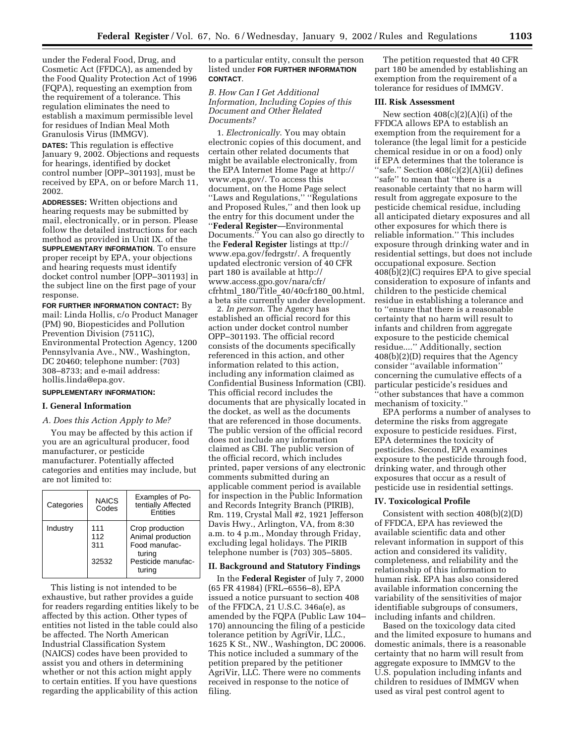under the Federal Food, Drug, and Cosmetic Act (FFDCA), as amended by the Food Quality Protection Act of 1996 (FQPA), requesting an exemption from the requirement of a tolerance. This regulation eliminates the need to establish a maximum permissible level for residues of Indian Meal Moth Granulosis Virus (IMMGV).

**DATES:** This regulation is effective January 9, 2002. Objections and requests for hearings, identified by docket control number [OPP–301193], must be received by EPA, on or before March 11, 2002.

**ADDRESSES:** Written objections and hearing requests may be submitted by mail, electronically, or in person. Please follow the detailed instructions for each method as provided in Unit IX. of the **SUPPLEMENTARY INFORMATION**. To ensure proper receipt by EPA, your objections and hearing requests must identify docket control number [OPP–301193] in the subject line on the first page of your response.

**FOR FURTHER INFORMATION CONTACT:** By mail: Linda Hollis, c/o Product Manager (PM) 90, Biopesticides and Pollution Prevention Division (7511C), Environmental Protection Agency, 1200 Pennsylvania Ave., NW., Washington, DC 20460; telephone number: (703) 308–8733; and e-mail address: hollis.linda@epa.gov.

# **SUPPLEMENTARY INFORMATION:**

## **I. General Information**

## *A. Does this Action Apply to Me?*

You may be affected by this action if you are an agricultural producer, food manufacturer, or pesticide manufacturer. Potentially affected categories and entities may include, but are not limited to:

| Categories | <b>NAICS</b><br>Codes      | Examples of Po-<br>tentially Affected<br><b>F</b> ntities                                       |
|------------|----------------------------|-------------------------------------------------------------------------------------------------|
| Industry   | 111<br>112<br>311<br>32532 | Crop production<br>Animal production<br>Food manufac-<br>turina<br>Pesticide manufac-<br>turing |

This listing is not intended to be exhaustive, but rather provides a guide for readers regarding entities likely to be affected by this action. Other types of entities not listed in the table could also be affected. The North American Industrial Classification System (NAICS) codes have been provided to assist you and others in determining whether or not this action might apply to certain entities. If you have questions regarding the applicability of this action

to a particular entity, consult the person listed under **FOR FURTHER INFORMATION CONTACT**.

*B. How Can I Get Additional Information, Including Copies of this Document and Other Related Documents?*

1. *Electronically*. You may obtain electronic copies of this document, and certain other related documents that might be available electronically, from the EPA Internet Home Page at http:// www.epa.gov/. To access this document, on the Home Page select ''Laws and Regulations,'' ''Regulations and Proposed Rules,'' and then look up the entry for this document under the ''**Federal Register**—Environmental Documents.'' You can also go directly to the **Federal Register** listings at ttp:// www.epa.gov/fedrgstr/. A frequently updated electronic version of 40 CFR part 180 is available at http:// www.access.gpo.gov/nara/cfr/ cfrhtml\_180/Title\_40/40cfr180\_00.html, a beta site currently under development.

2. *In person*. The Agency has established an official record for this action under docket control number OPP–301193. The official record consists of the documents specifically referenced in this action, and other information related to this action, including any information claimed as Confidential Business Information (CBI). This official record includes the documents that are physically located in the docket, as well as the documents that are referenced in those documents. The public version of the official record does not include any information claimed as CBI. The public version of the official record, which includes printed, paper versions of any electronic comments submitted during an applicable comment period is available for inspection in the Public Information and Records Integrity Branch (PIRIB), Rm. 119, Crystal Mall #2, 1921 Jefferson Davis Hwy., Arlington, VA, from 8:30 a.m. to 4 p.m., Monday through Friday, excluding legal holidays. The PIRIB telephone number is (703) 305–5805.

# **II. Background and Statutory Findings**

In the **Federal Register** of July 7, 2000 (65 FR 41984) (FRL–6556–8), EPA issued a notice pursuant to section 408 of the FFDCA, 21 U.S.C. 346a(e), as amended by the FQPA (Public Law 104– 170) announcing the filing of a pesticide tolerance petition by AgriVir, LLC., 1625 K St., NW., Washington, DC 20006. This notice included a summary of the petition prepared by the petitioner AgriVir, LLC. There were no comments received in response to the notice of filing.

The petition requested that 40 CFR part 180 be amended by establishing an exemption from the requirement of a tolerance for residues of IMMGV.

## **III. Risk Assessment**

New section 408(c)(2)(A)(i) of the FFDCA allows EPA to establish an exemption from the requirement for a tolerance (the legal limit for a pesticide chemical residue in or on a food) only if EPA determines that the tolerance is ''safe.'' Section 408(c)(2)(A)(ii) defines "safe" to mean that "there is a reasonable certainty that no harm will result from aggregate exposure to the pesticide chemical residue, including all anticipated dietary exposures and all other exposures for which there is reliable information.'' This includes exposure through drinking water and in residential settings, but does not include occupational exposure. Section  $408(b)(2)(C)$  requires EPA to give special consideration to exposure of infants and children to the pesticide chemical residue in establishing a tolerance and to ''ensure that there is a reasonable certainty that no harm will result to infants and children from aggregate exposure to the pesticide chemical residue....'' Additionally, section 408(b)(2)(D) requires that the Agency consider ''available information'' concerning the cumulative effects of a particular pesticide's residues and ''other substances that have a common mechanism of toxicity.''

EPA performs a number of analyses to determine the risks from aggregate exposure to pesticide residues. First, EPA determines the toxicity of pesticides. Second, EPA examines exposure to the pesticide through food, drinking water, and through other exposures that occur as a result of pesticide use in residential settings.

## **IV. Toxicological Profile**

Consistent with section 408(b)(2)(D) of FFDCA, EPA has reviewed the available scientific data and other relevant information in support of this action and considered its validity, completeness, and reliability and the relationship of this information to human risk. EPA has also considered available information concerning the variability of the sensitivities of major identifiable subgroups of consumers, including infants and children.

Based on the toxicology data cited and the limited exposure to humans and domestic animals, there is a reasonable certainty that no harm will result from aggregate exposure to IMMGV to the U.S. population including infants and children to residues of IMMGV when used as viral pest control agent to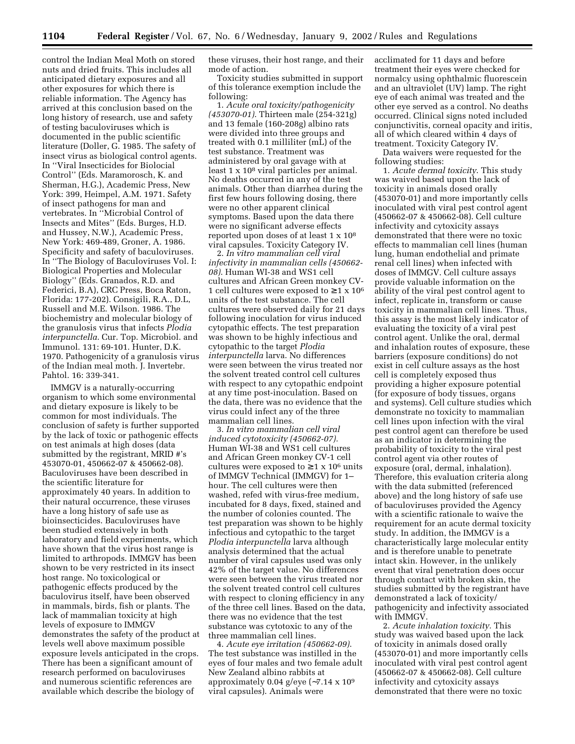control the Indian Meal Moth on stored nuts and dried fruits. This includes all anticipated dietary exposures and all other exposures for which there is reliable information. The Agency has arrived at this conclusion based on the long history of research, use and safety of testing baculoviruses which is documented in the public scientific literature (Doller, G. 1985. The safety of insect virus as biological control agents. In ''Viral Insecticides for Biolocial Control'' (Eds. Maramorosch, K. and Sherman, H.G.), Academic Press, New York: 399, Heimpel, A.M. 1971. Safety of insect pathogens for man and vertebrates. In ''Microbial Control of Insects and Mites'' (Eds. Burges, H.D. and Hussey, N.W.), Academic Press, New York: 469-489, Groner, A. 1986. Specificity and safety of baculoviruses. In ''The Biology of Baculoviruses Vol. I: Biological Properties and Molecular Biology'' (Eds. Granados, R.D. and Federici, B.A), CRC Press, Boca Raton, Florida: 177-202). Consigili, R.A., D.L, Russell and M.E. Wilson. 1986. The biochemistry and molecular biology of the granulosis virus that infects *Plodia interpunctella*. Cur. Top. Microbiol. and Immunol. 131: 69-101. Hunter, D.K. 1970. Pathogenicity of a granulosis virus of the Indian meal moth. J. Invertebr. Pahtol. 16: 339-341.

IMMGV is a naturally-occurring organism to which some environmental and dietary exposure is likely to be common for most individuals. The conclusion of safety is further supported by the lack of toxic or pathogenic effects on test animals at high doses (data submitted by the registrant, MRID #'s 453070-01, 450662-07 & 450662-08). Baculoviruses have been described in the scientific literature for approximately 40 years. In addition to their natural occurrence, these viruses have a long history of safe use as bioinsecticides. Baculoviruses have been studied extensively in both laboratory and field experiments, which have shown that the virus host range is limited to arthropods. IMMGV has been shown to be very restricted in its insect host range. No toxicological or pathogenic effects produced by the baculovirus itself, have been observed in mammals, birds, fish or plants. The lack of mammalian toxicity at high levels of exposure to IMMGV demonstrates the safety of the product at levels well above maximum possible exposure levels anticipated in the crops. There has been a significant amount of research performed on baculoviruses and numerous scientific references are available which describe the biology of

these viruses, their host range, and their mode of action.

Toxicity studies submitted in support of this tolerance exemption include the following:

1. *Acute oral toxicity/pathogenicity (453070-01)*. Thirteen male (254-321g) and 13 female (160-208g) albino rats were divided into three groups and treated with 0.1 milliliter (mL) of the test substance. Treatment was administered by oral gavage with at least 1 x 108 viral particles per animal. No deaths occurred in any of the test animals. Other than diarrhea during the first few hours following dosing, there were no other apparent clinical symptoms. Based upon the data there were no significant adverse effects reported upon doses of at least 1 x 108 viral capsules. Toxicity Category IV.

2. *In vitro mammalian cell viral infectivity in mammalian cells (450662- 08)*. Human WI-38 and WS1 cell cultures and African Green monkey CV-1 cell cultures were exposed to  $\geq 1 \times 10^6$ units of the test substance. The cell cultures were observed daily for 21 days following inoculation for virus induced cytopathic effects. The test preparation was shown to be highly infectious and cytopathic to the target *Plodia interpunctella* larva. No differences were seen between the virus treated nor the solvent treated control cell cultures with respect to any cytopathic endpoint at any time post-inoculation. Based on the data, there was no evidence that the virus could infect any of the three mammalian cell lines.

3. *In vitro mammalian cell viral induced cytotoxicity (450662-07).* Human WI-38 and WS1 cell cultures and African Green monkey CV-1 cell cultures were exposed to  $\geq 1 \times 10^6$  units of IMMGV Technical (IMMGV) for 1– hour. The cell cultures were then washed, refed with virus-free medium, incubated for 8 days, fixed, stained and the number of colonies counted. The test preparation was shown to be highly infectious and cytopathic to the target *Plodia interpunctella* larva although analysis determined that the actual number of viral capsules used was only 42% of the target value. No differences were seen between the virus treated nor the solvent treated control cell cultures with respect to cloning efficiency in any of the three cell lines. Based on the data, there was no evidence that the test substance was cytotoxic to any of the three mammalian cell lines.

4. *Acute eye irritation (450662-09)*. The test substance was instilled in the eyes of four males and two female adult New Zealand albino rabbits at approximately 0.04 g/eye (∼7.14 x 109 viral capsules). Animals were

acclimated for 11 days and before treatment their eyes were checked for normalcy using ophthalmic fluorescein and an ultraviolet (UV) lamp. The right eye of each animal was treated and the other eye served as a control. No deaths occurred. Clinical signs noted included conjunctivitis, corneal opacity and iritis, all of which cleared within 4 days of treatment. Toxicity Category IV.

Data waivers were requested for the following studies:

1. *Acute dermal toxicity*. This study was waived based upon the lack of toxicity in animals dosed orally (453070-01) and more importantly cells inoculated with viral pest control agent (450662-07 & 450662-08). Cell culture infectivity and cytoxicity assays demonstrated that there were no toxic effects to mammalian cell lines (human lung, human endothelial and primate renal cell lines) when infected with doses of IMMGV. Cell culture assays provide valuable information on the ability of the viral pest control agent to infect, replicate in, transform or cause toxicity in mammalian cell lines. Thus, this assay is the most likely indicator of evaluating the toxicity of a viral pest control agent. Unlike the oral, dermal and inhalation routes of exposure, these barriers (exposure conditions) do not exist in cell culture assays as the host cell is completely exposed thus providing a higher exposure potential (for exposure of body tissues, organs and systems). Cell culture studies which demonstrate no toxicity to mammalian cell lines upon infection with the viral pest control agent can therefore be used as an indicator in determining the probability of toxicity to the viral pest control agent via other routes of exposure (oral, dermal, inhalation). Therefore, this evaluation criteria along with the data submitted (referenced above) and the long history of safe use of baculoviruses provided the Agency with a scientific rationale to waive the requirement for an acute dermal toxicity study. In addition, the IMMGV is a characteristically large molecular entity and is therefore unable to penetrate intact skin. However, in the unlikely event that viral penetration does occur through contact with broken skin, the studies submitted by the registrant have demonstrated a lack of toxicity/ pathogenicity and infectivity associated with IMMGV.

2. *Acute inhalation toxicity.* This study was waived based upon the lack of toxicity in animals dosed orally (453070-01) and more importantly cells inoculated with viral pest control agent (450662-07 & 450662-08). Cell culture infectivity and cytoxicity assays demonstrated that there were no toxic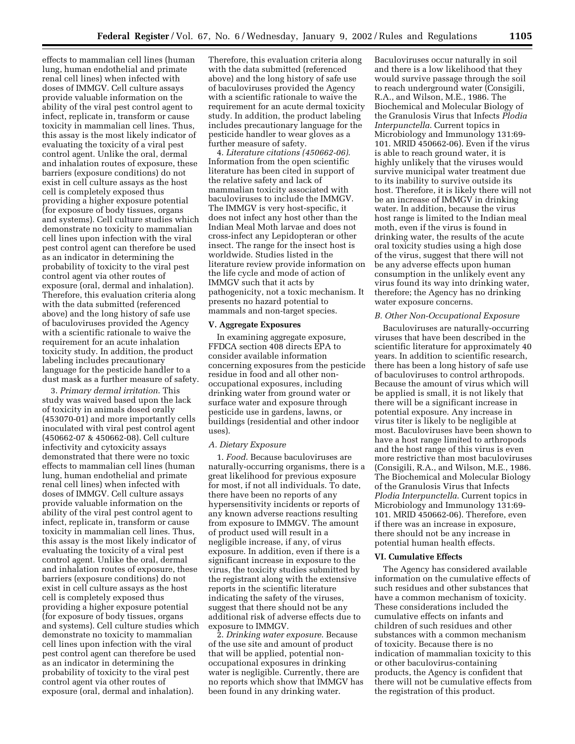effects to mammalian cell lines (human lung, human endothelial and primate renal cell lines) when infected with doses of IMMGV. Cell culture assays provide valuable information on the ability of the viral pest control agent to infect, replicate in, transform or cause toxicity in mammalian cell lines. Thus, this assay is the most likely indicator of evaluating the toxicity of a viral pest control agent. Unlike the oral, dermal and inhalation routes of exposure, these barriers (exposure conditions) do not exist in cell culture assays as the host cell is completely exposed thus providing a higher exposure potential (for exposure of body tissues, organs and systems). Cell culture studies which demonstrate no toxicity to mammalian cell lines upon infection with the viral pest control agent can therefore be used as an indicator in determining the probability of toxicity to the viral pest control agent via other routes of exposure (oral, dermal and inhalation). Therefore, this evaluation criteria along with the data submitted (referenced above) and the long history of safe use of baculoviruses provided the Agency with a scientific rationale to waive the requirement for an acute inhalation toxicity study. In addition, the product labeling includes precautionary language for the pesticide handler to a dust mask as a further measure of safety.

3. *Primary dermal irritation*. This study was waived based upon the lack of toxicity in animals dosed orally (453070-01) and more importantly cells inoculated with viral pest control agent (450662-07 & 450662-08). Cell culture infectivity and cytoxicity assays demonstrated that there were no toxic effects to mammalian cell lines (human lung, human endothelial and primate renal cell lines) when infected with doses of IMMGV. Cell culture assays provide valuable information on the ability of the viral pest control agent to infect, replicate in, transform or cause toxicity in mammalian cell lines. Thus, this assay is the most likely indicator of evaluating the toxicity of a viral pest control agent. Unlike the oral, dermal and inhalation routes of exposure, these barriers (exposure conditions) do not exist in cell culture assays as the host cell is completely exposed thus providing a higher exposure potential (for exposure of body tissues, organs and systems). Cell culture studies which demonstrate no toxicity to mammalian cell lines upon infection with the viral pest control agent can therefore be used as an indicator in determining the probability of toxicity to the viral pest control agent via other routes of exposure (oral, dermal and inhalation).

Therefore, this evaluation criteria along with the data submitted (referenced above) and the long history of safe use of baculoviruses provided the Agency with a scientific rationale to waive the requirement for an acute dermal toxicity study. In addition, the product labeling includes precautionary language for the pesticide handler to wear gloves as a further measure of safety.

4. *Literature citations (450662-06)*. Information from the open scientific literature has been cited in support of the relative safety and lack of mammalian toxicity associated with baculoviruses to include the IMMGV. The IMMGV is very host-specific, it does not infect any host other than the Indian Meal Moth larvae and does not cross-infect any Lepidopteran or other insect. The range for the insect host is worldwide. Studies listed in the literature review provide information on the life cycle and mode of action of IMMGV such that it acts by pathogenicity, not a toxic mechanism. It presents no hazard potential to mammals and non-target species.

# **V. Aggregate Exposures**

In examining aggregate exposure, FFDCA section 408 directs EPA to consider available information concerning exposures from the pesticide residue in food and all other nonoccupational exposures, including drinking water from ground water or surface water and exposure through pesticide use in gardens, lawns, or buildings (residential and other indoor uses).

### *A. Dietary Exposure*

1. *Food*. Because baculoviruses are naturally-occurring organisms, there is a great likelihood for previous exposure for most, if not all individuals. To date, there have been no reports of any hypersensitivity incidents or reports of any known adverse reactions resulting from exposure to IMMGV. The amount of product used will result in a negligible increase, if any, of virus exposure. In addition, even if there is a significant increase in exposure to the virus, the toxicity studies submitted by the registrant along with the extensive reports in the scientific literature indicating the safety of the viruses, suggest that there should not be any additional risk of adverse effects due to exposure to IMMGV.

2. *Drinking water exposure*. Because of the use site and amount of product that will be applied, potential nonoccupational exposures in drinking water is negligible. Currently, there are no reports which show that IMMGV has been found in any drinking water.

Baculoviruses occur naturally in soil and there is a low likelihood that they would survive passage through the soil to reach underground water (Consigili, R.A., and Wilson, M.E., 1986. The Biochemical and Molecular Biology of the Granulosis Virus that Infects *Plodia Interpunctella*. Current topics in Microbiology and Immunology 131:69- 101. MRID 450662-06). Even if the virus is able to reach ground water, it is highly unlikely that the viruses would survive municipal water treatment due to its inability to survive outside its host. Therefore, it is likely there will not be an increase of IMMGV in drinking water. In addition, because the virus host range is limited to the Indian meal moth, even if the virus is found in drinking water, the results of the acute oral toxicity studies using a high dose of the virus, suggest that there will not be any adverse effects upon human consumption in the unlikely event any virus found its way into drinking water, therefore; the Agency has no drinking water exposure concerns.

### *B. Other Non-Occupational Exposure*

Baculoviruses are naturally-occurring viruses that have been described in the scientific literature for approximately 40 years. In addition to scientific research, there has been a long history of safe use of baculoviruses to control arthropods. Because the amount of virus which will be applied is small, it is not likely that there will be a significant increase in potential exposure. Any increase in virus titer is likely to be negligible at most. Baculoviruses have been shown to have a host range limited to arthropods and the host range of this virus is even more restrictive than most baculoviruses (Consigili, R.A., and Wilson, M.E., 1986. The Biochemical and Molecular Biology of the Granulosis Virus that Infects *Plodia Interpunctella*. Current topics in Microbiology and Immunology 131:69- 101. MRID 450662-06). Therefore, even if there was an increase in exposure, there should not be any increase in potential human health effects.

#### **VI. Cumulative Effects**

The Agency has considered available information on the cumulative effects of such residues and other substances that have a common mechanism of toxicity. These considerations included the cumulative effects on infants and children of such residues and other substances with a common mechanism of toxicity. Because there is no indication of mammalian toxicity to this or other baculovirus-containing products, the Agency is confident that there will not be cumulative effects from the registration of this product.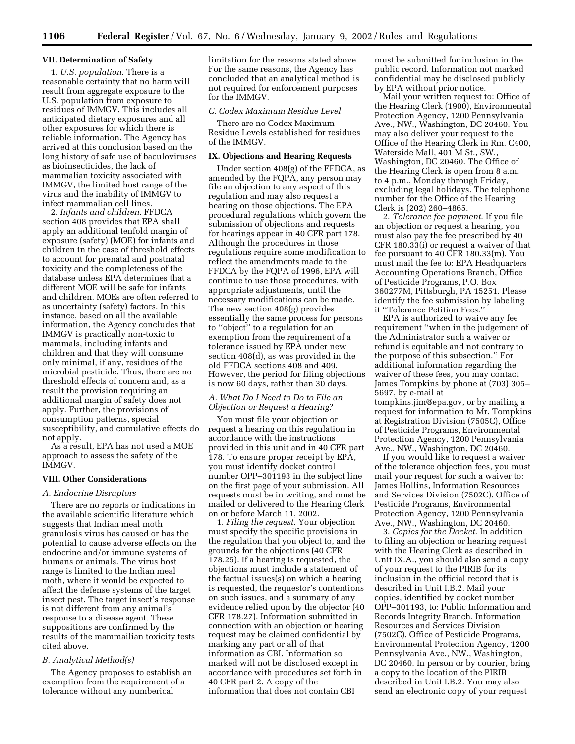## **VII. Determination of Safety**

1. *U.S. population*. There is a reasonable certainty that no harm will result from aggregate exposure to the U.S. population from exposure to residues of IMMGV. This includes all anticipated dietary exposures and all other exposures for which there is reliable information. The Agency has arrived at this conclusion based on the long history of safe use of baculoviruses as bioinsecticides, the lack of mammalian toxicity associated with IMMGV, the limited host range of the virus and the inability of IMMGV to infect mammalian cell lines.

2. *Infants and children.* FFDCA section 408 provides that EPA shall apply an additional tenfold margin of exposure (safety) (MOE) for infants and children in the case of threshold effects to account for prenatal and postnatal toxicity and the completeness of the database unless EPA determines that a different MOE will be safe for infants and children. MOEs are often referred to as uncertainty (safety) factors. In this instance, based on all the available information, the Agency concludes that IMMGV is practically non-toxic to mammals, including infants and children and that they will consume only minimal, if any, residues of the microbial pesticide. Thus, there are no threshold effects of concern and, as a result the provision requiring an additional margin of safety does not apply. Further, the provisions of consumption patterns, special susceptibility, and cumulative effects do not apply.

As a result, EPA has not used a MOE approach to assess the safety of the IMMGV.

# **VIII. Other Considerations**

### *A. Endocrine Disruptors*

There are no reports or indications in the available scientific literature which suggests that Indian meal moth granulosis virus has caused or has the potential to cause adverse effects on the endocrine and/or immune systems of humans or animals. The virus host range is limited to the Indian meal moth, where it would be expected to affect the defense systems of the target insect pest. The target insect's response is not different from any animal's response to a disease agent. These suppositions are confirmed by the results of the mammailian toxicity tests cited above.

## *B. Analytical Method(s)*

The Agency proposes to establish an exemption from the requirement of a tolerance without any numberical

limitation for the reasons stated above. For the same reasons, the Agency has concluded that an analytical method is not required for enforcement purposes for the IMMGV.

### *C. Codex Maximum Residue Level*

There are no Codex Maximum Residue Levels established for residues of the IMMGV.

## **IX. Objections and Hearing Requests**

Under section 408(g) of the FFDCA, as amended by the FQPA, any person may file an objection to any aspect of this regulation and may also request a hearing on those objections. The EPA procedural regulations which govern the submission of objections and requests for hearings appear in 40 CFR part 178. Although the procedures in those regulations require some modification to reflect the amendments made to the FFDCA by the FQPA of 1996, EPA will continue to use those procedures, with appropriate adjustments, until the necessary modifications can be made. The new section 408(g) provides essentially the same process for persons to ''object'' to a regulation for an exemption from the requirement of a tolerance issued by EPA under new section 408(d), as was provided in the old FFDCA sections 408 and 409. However, the period for filing objections is now 60 days, rather than 30 days.

# *A. What Do I Need to Do to File an Objection or Request a Hearing?*

You must file your objection or request a hearing on this regulation in accordance with the instructions provided in this unit and in 40 CFR part 178. To ensure proper receipt by EPA, you must identify docket control number OPP–301193 in the subject line on the first page of your submission. All requests must be in writing, and must be mailed or delivered to the Hearing Clerk on or before March 11, 2002.

1. *Filing the request*. Your objection must specify the specific provisions in the regulation that you object to, and the grounds for the objections (40 CFR 178.25). If a hearing is requested, the objections must include a statement of the factual issues(s) on which a hearing is requested, the requestor's contentions on such issues, and a summary of any evidence relied upon by the objector (40 CFR 178.27). Information submitted in connection with an objection or hearing request may be claimed confidential by marking any part or all of that information as CBI. Information so marked will not be disclosed except in accordance with procedures set forth in 40 CFR part 2. A copy of the information that does not contain CBI

must be submitted for inclusion in the public record. Information not marked confidential may be disclosed publicly by EPA without prior notice.

Mail your written request to: Office of the Hearing Clerk (1900), Environmental Protection Agency, 1200 Pennsylvania Ave., NW., Washington, DC 20460. You may also deliver your request to the Office of the Hearing Clerk in Rm. C400, Waterside Mall, 401 M St., SW., Washington, DC 20460. The Office of the Hearing Clerk is open from 8 a.m. to 4 p.m., Monday through Friday, excluding legal holidays. The telephone number for the Office of the Hearing Clerk is (202) 260–4865.

2. *Tolerance fee payment*. If you file an objection or request a hearing, you must also pay the fee prescribed by 40 CFR 180.33(i) or request a waiver of that fee pursuant to 40 CFR 180.33(m). You must mail the fee to: EPA Headquarters Accounting Operations Branch, Office of Pesticide Programs, P.O. Box 360277M, Pittsburgh, PA 15251. Please identify the fee submission by labeling it ''Tolerance Petition Fees.''

EPA is authorized to waive any fee requirement ''when in the judgement of the Administrator such a waiver or refund is equitable and not contrary to the purpose of this subsection.'' For additional information regarding the waiver of these fees, you may contact James Tompkins by phone at (703) 305– 5697, by e-mail at

tompkins.jim@epa.gov, or by mailing a request for information to Mr. Tompkins at Registration Division (7505C), Office of Pesticide Programs, Environmental Protection Agency, 1200 Pennsylvania Ave., NW., Washington, DC 20460.

If you would like to request a waiver of the tolerance objection fees, you must mail your request for such a waiver to: James Hollins, Information Resources and Services Division (7502C), Office of Pesticide Programs, Environmental Protection Agency, 1200 Pennsylvania Ave., NW., Washington, DC 20460.

3. *Copies for the Docket*. In addition to filing an objection or hearing request with the Hearing Clerk as described in Unit IX.A., you should also send a copy of your request to the PIRIB for its inclusion in the official record that is described in Unit I.B.2. Mail your copies, identified by docket number OPP–301193, to: Public Information and Records Integrity Branch, Information Resources and Services Division (7502C), Office of Pesticide Programs, Environmental Protection Agency, 1200 Pennsylvania Ave., NW., Washington, DC 20460. In person or by courier, bring a copy to the location of the PIRIB described in Unit I.B.2. You may also send an electronic copy of your request